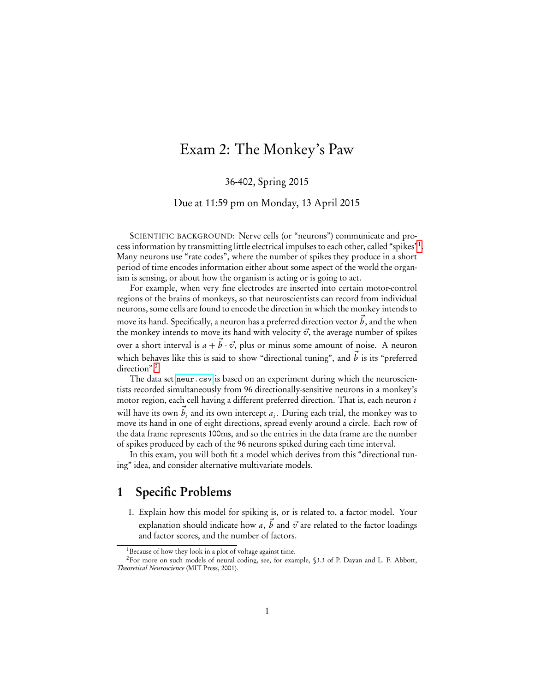# Exam 2: The Monkey's Paw

#### 36-402, Spring 2015

Due at 11:59 pm on Monday, 13 April 2015

SCIENTIFIC BACKGROUND: Nerve cells (or "neurons") communicate and process information by transmitting little electrical impulses to each other, called "spikes"[1](#page-0-0) . Many neurons use "rate codes", where the number of spikes they produce in a short period of time encodes information either about some aspect of the world the organism is sensing, or about how the organism is acting or is going to act.

For example, when very fine electrodes are inserted into certain motor-control regions of the brains of monkeys, so that neuroscientists can record from individual neurons, some cells are found to encode the direction in which the monkey intends to move its hand. Specifically, a neuron has a preferred direction vector  $\vec{b}$ , and the when the monkey intends to move its hand with velocity  $\vec{v}$ , the average number of spikes over a short interval is  $a + \vec{b} \cdot \vec{v}$ , plus or minus some amount of noise. A neuron which behaves like this is said to show "directional tuning", and  $\vec{b}$  is its "preferred direction".<sup>[2](#page-0-1)</sup>

The data set [neur.csv](http://www.stat.cmu.edu/~cshalizi/uADA/15/exams/2neur.csv) is based on an experiment during which the neuroscientists recorded simultaneously from 96 directionally-sensitive neurons in a monkey's motor region, each cell having a different preferred direction. That is, each neuron  $i$ will have its own  $\vec{b}_i$  and its own intercept  $a_i$ . During each trial, the monkey was to move its hand in one of eight directions, spread evenly around a circle. Each row of the data frame represents 100ms, and so the entries in the data frame are the number of spikes produced by each of the 96 neurons spiked during each time interval.

In this exam, you will both fit a model which derives from this "directional tuning" idea, and consider alternative multivariate models.

## <span id="page-0-3"></span>1 Specific Problems

<span id="page-0-2"></span>1. Explain how this model for spiking is, or is related to, a factor model. Your explanation should indicate how *a*,  $\vec{b}$  and  $\vec{v}$  are related to the factor loadings and factor scores, and the number of factors.

<span id="page-0-1"></span><span id="page-0-0"></span><sup>1</sup>Because of how they look in a plot of voltage against time.

<sup>2</sup>For more on such models of neural coding, see, for example, §3.3 of P. Dayan and L. F. Abbott, Theoretical Neuroscience (MIT Press, 2001).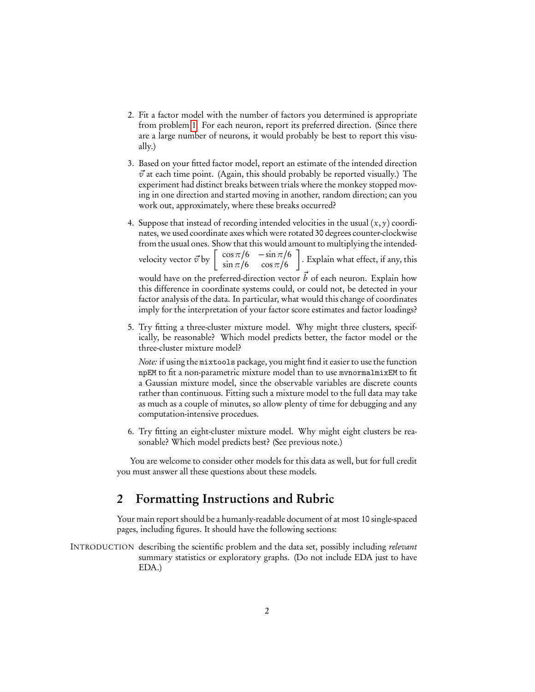- 2. Fit a factor model with the number of factors you determined is appropriate from problem [1.](#page-0-2) For each neuron, report its preferred direction. (Since there are a large number of neurons, it would probably be best to report this visually.)
- 3. Based on your fitted factor model, report an estimate of the intended direction  $\vec{v}$  at each time point. (Again, this should probably be reported visually.) The experiment had distinct breaks between trials where the monkey stopped moving in one direction and started moving in another, random direction; can you work out, approximately, where these breaks occurred?
- 4. Suppose that instead of recording intended velocities in the usual  $(x, y)$  coordinates, we used coordinate axes which were rotated 30 degrees counter-clockwise from the usual ones. Show that this would amount to multiplying the intendedvelocity vector  $\vec{v}$  by  $\begin{bmatrix} \cos \pi/6 & -\sin \pi/6 \\ \sin \pi/6 & \cos \pi/6 \end{bmatrix}$ sin*π/*6 cos*π/*6 . Explain what effect, if any, this would have on the preferred-direction vector *b* of each neuron. Explain how this difference in coordinate systems could, or could not, be detected in your factor analysis of the data. In particular, what would this change of coordinates imply for the interpretation of your factor score estimates and factor loadings?
- 5. Try fitting a three-cluster mixture model. Why might three clusters, specifically, be reasonable? Which model predicts better, the factor model or the three-cluster mixture model?

Note: if using the mixtools package, you might find it easier to use the function npEM to fit a non-parametric mixture model than to use mvnormalmixEM to fit a Gaussian mixture model, since the observable variables are discrete counts rather than continuous. Fitting such a mixture model to the full data may take as much as a couple of minutes, so allow plenty of time for debugging and any computation-intensive procedues.

6. Try fitting an eight-cluster mixture model. Why might eight clusters be reasonable? Which model predicts best? (See previous note.)

You are welcome to consider other models for this data as well, but for full credit you must answer all these questions about these models.

### 2 Formatting Instructions and Rubric

Your main report should be a humanly-readable document of at most 10 single-spaced pages, including figures. It should have the following sections:

INTRODUCTION describing the scientific problem and the data set, possibly including relevant summary statistics or exploratory graphs. (Do not include EDA just to have EDA.)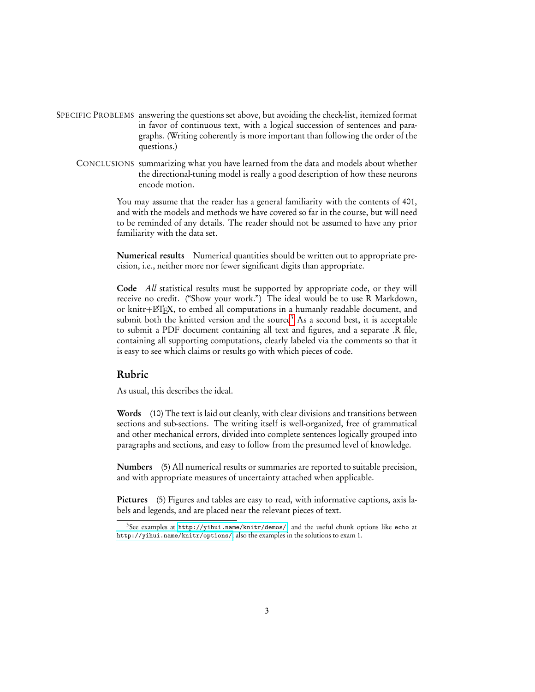- SPECIFIC PROBLEMS answering the questions set above, but avoiding the check-list, itemized format in favor of continuous text, with a logical succession of sentences and paragraphs. (Writing coherently is more important than following the order of the questions.)
	- CONCLUSIONS summarizing what you have learned from the data and models about whether the directional-tuning model is really a good description of how these neurons encode motion.

You may assume that the reader has a general familiarity with the contents of 401, and with the models and methods we have covered so far in the course, but will need to be reminded of any details. The reader should not be assumed to have any prior familiarity with the data set.

Numerical results Numerical quantities should be written out to appropriate precision, i.e., neither more nor fewer significant digits than appropriate.

Code All statistical results must be supported by appropriate code, or they will receive no credit. ("Show your work.") The ideal would be to use R Markdown, or knitr+LATEX, to embed all computations in a humanly readable document, and submit both the knitted version and the source<sup>[3](#page-2-0)</sup> As a second best, it is acceptable to submit a PDF document containing all text and figures, and a separate .R file, containing all supporting computations, clearly labeled via the comments so that it is easy to see which claims or results go with which pieces of code.

#### Rubric

As usual, this describes the ideal.

Words (10) The text is laid out cleanly, with clear divisions and transitions between sections and sub-sections. The writing itself is well-organized, free of grammatical and other mechanical errors, divided into complete sentences logically grouped into paragraphs and sections, and easy to follow from the presumed level of knowledge.

Numbers (5) All numerical results or summaries are reported to suitable precision, and with appropriate measures of uncertainty attached when applicable.

Pictures (5) Figures and tables are easy to read, with informative captions, axis labels and legends, and are placed near the relevant pieces of text.

<span id="page-2-0"></span> $^3$ See examples at <code><http://yihui.name/knitr/demos/></code>, and the useful chunk options like <code>echo</code> at <http://yihui.name/knitr/options/>; also the examples in the solutions to exam 1.